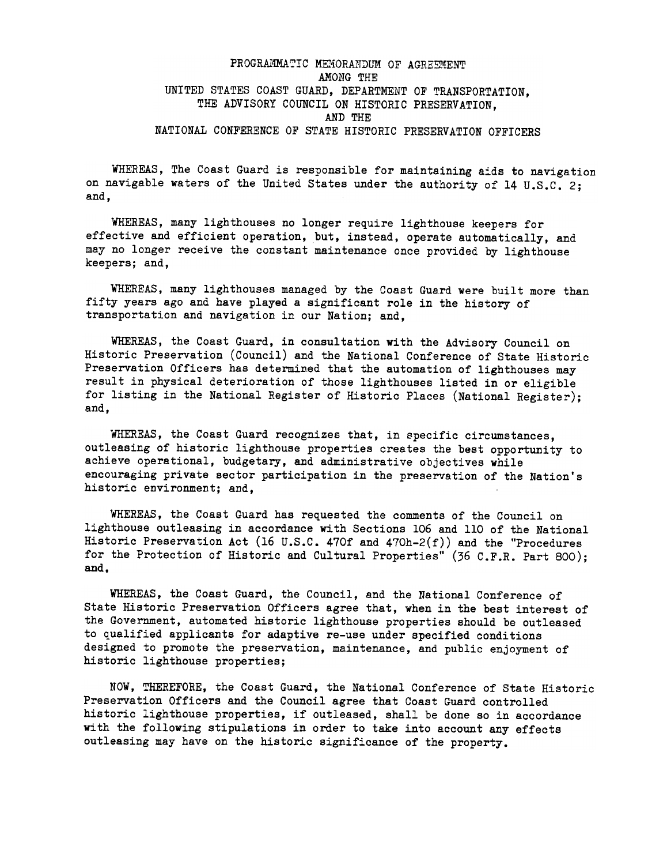# PROGRAMMATIC MEMORANDUM OF AGREEMENT AMONG THE UNITED STATES COAST GUARD, DEPARTMENT OF TRANSPORTATION, THE ADVISORY COUNCIL ON HISTORIC PRESERVATION, AND THE NATIONAL CONFERENCE OF STATE HISTORIC PRESERVATION OFFICERS

WHEREAS, The Coast Guard is responsible for maintaining aids to navigation on navigable waters of the United States under the authority of 14 U.S.C. 2; and,

WHEREAS, many lighthouses no longer require lighthouse keepers for effective and efficient operation, but, instead, operate automatically, and may no longer receive the constant maintenance once provided by lighthouse keepers; and,

WHEREAS. many lighthouses managed by the Coast Guard were built more than fifty years ago and have played a significant role in the history of transportation and navigation in our Nation; and,

WHEREAS, the Coast Guard, in consultation with the Advisory Council on Historic Preservation (Council) and the National Conference of State Historic Preservation Officers has determined that the automation of lighthouses may result in physical deterioration of those lighthouses listed in or eligible for listing in the National Register of Historic Places (National Register); and,

WHEREAS, the Coast Guard recognizes that, in specific circumstances, outleasing of historic lighthouse properties creates the best opportunity to achieve operational, budgetary, and administrative objectives while encouraging private sector participation in the preservation of the Nation's historic environment; and,

WHEREAS, the Coast Guard has requested the comments of the Council on lighthouse outleasing in accordance with Sections 106 and 110 of the National Historic Preservation Act (16 U.S.C. 470f and 470h-2(f)) and the "Procedures for the Protection of Historic and Cultural Properties" (36 C.F.R. Part 800); and.

WHEREAS, the Coast Guard, the Council, and the National Conference of State Historic Preservation Officers agree that, when in the best interest of the Government, automated historic lighthouse properties should be outleased to qualified applicants for adaptive re-use under specified conditions designed to promote the preservation, maintenance, and public enjoyment of historic lighthouse properties;

NOW, THEREFORE, the Coast Guard, the National Conference of State Historic Preservation Officers and the Council agree that Coast Guard controlled historic lighthouse properties, if outleased, shall be done so in accordance with the following stipulations in order to take into account any effects outleasing may have on the historic significance of the property.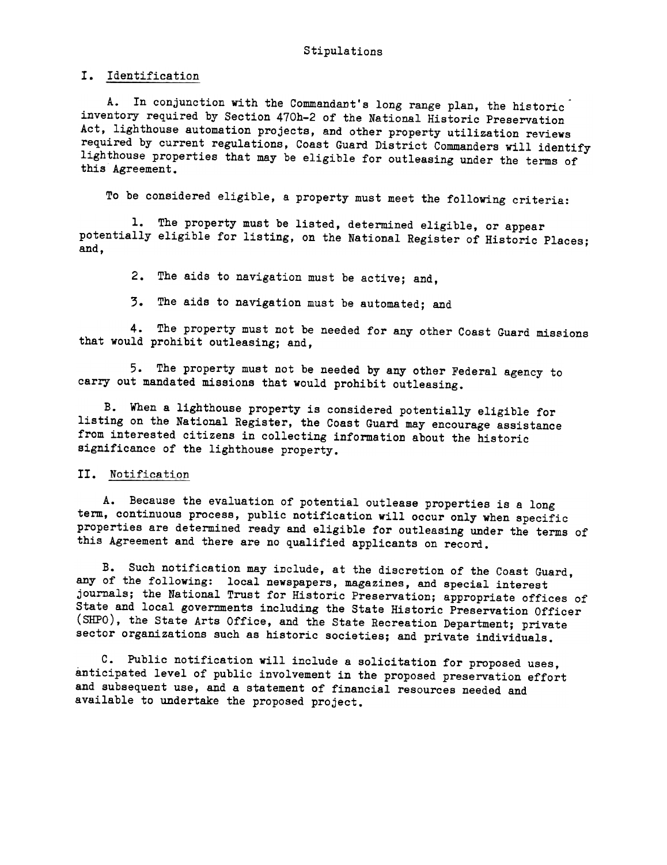I. Identification

A. In conjunction with the Commandant's long range plan, the historic inventory required by Section 470h-2 of the National Historic Preservation Act, lighthouse automation projects, and other property utilization reviews required by current regulations, Coast Guard District Commanders will identify lighthouse properties that may be eligible for outleasing under the terms of this Agreement.

To be considered eligible, a property must meet the following criteria:

1. The property must be listed, determined eligible, or appear potentially eligible for listing, on the National Register of Historic Places; and,

2. The aids to navigation must be active; and,

3. The aids to navigation must be automated; and

4. The property must not be needed for any other Coast Guard missions that would prohibit outleasing; and,

5. The property must not be needed by any other Federal agency to carry out mandated missions that would prohibit outleasing.

B. When a lighthouse property is considered potentially eligible for listing on the National Register, the Coast Guard may encourage assistance from interested citizens in collecting information about the historic significance of the lighthouse property.

### II. Notification

A. Because the evaluation of potential outlease properties is a long term, continuous process, public notification will occur only when specific properties are determined ready and eligible for outleasing under the terms of this Agreement and there are no qualified applicants on record.

B. Such notification may include, at the discretion of the Coast Guard, any of the following: local newspapers, magazines, and special interest journals; the National Trust for Historic Preservation; appropriate offices of State and local governments including the State Historic Preservation Officer (SHPO), the State Arts Office, and the State Recreation Department; private sector organizations such as historic societies; and private individuals.

C. Public notification will include a solicitation for proposed uses, anticipated level of public involvement in the proposed preservation effort and subsequent use, and a statement of financial resources needed and available to undertake the proposed project.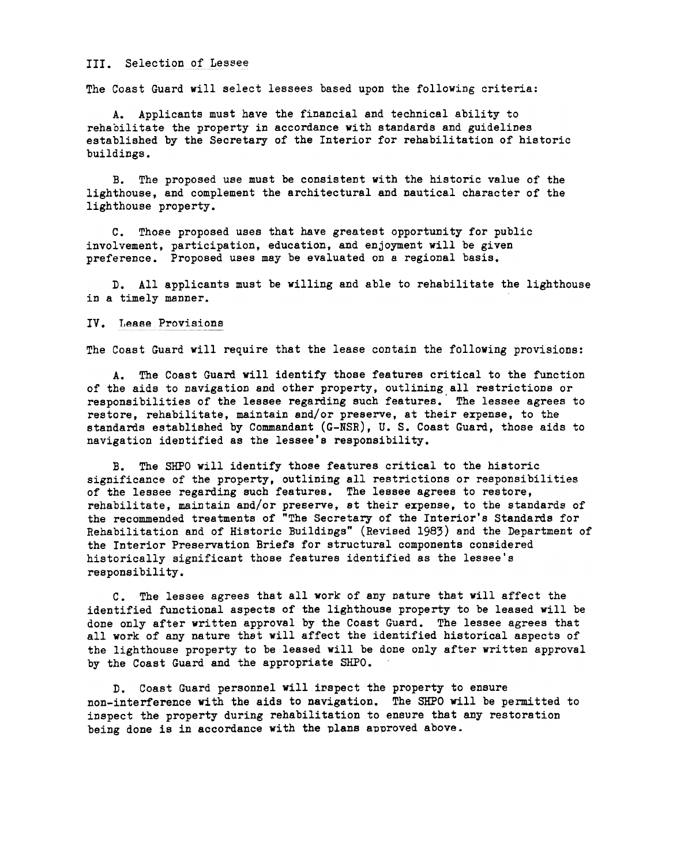#### III. Selection of Lessee

The Coast Guard will select lessees based upon the following criteria:

A. Applicants must have the financial and technical ability to rehabilitate the property in accordance with standards and guidelines established by the Secretary of the Interior for rehabilitation of historic buildings.

B. The proposed use must be consistent with the historic value of the lighthouse, and complement the architectural and nautical character of the lighthouse property.

C. Those proposed uses that have greatest opportunity for public involvement, participation, education, and enjoyment will be given preference. Proposed uses may be evaluated on a regional basis.

D. All applicants must be willing and able to rehabilitate the lighthouse in a timely manner.

#### IV. Lease Provisions

The Coast Guard will require that the lease contain the following provisions:

A. The Coast Guard will identify those features critical to the function of the aids to navigation and other property, outlining all restrictions or responsibilities of the lessee regarding such features.' The lessee agrees to restore, rehabilitate, maintain and/or preserve, at their erpense, to the standards established by Commandant (G-NSR), U. S. Coast Guard, those aids to navigation identified as the lessee's responsibility.

B. The SHPO will identify those features critical to the historic significance of the property, outlining all restrictions or responsibilities of the lessee regarding such features. The lessee agrees to restore, rehabilitate, maintain and/or preserve, at their expense, to the standards of the recommended treatments of "The Secretary of the Interior's Standards for Rehabilitation and of Historic Buildings" (Revised 1983) and the Department of the Interior Preservation Briefs for structural components considered historically significant those features identified as the lessee's responsibility.

C. The lessee agrees that all work of any nature that will affect the identified functional aspects of the lighthouse property to be leased will be done only after written approval by the Coast Guard. The lessee agrees that all york of any nature thst will affect the identified historical aspects of the lighthouse property to be leased will be done only after written approval by the Coast Guard and the appropriate SHPO.

D. Coast Guard personnel will inspect the property to ensure non-interference with the aids to navigation. The SHPO will be permitted to inspect the property during rehabilitation to ensure that any restoration being done is in accordance with the plans approved above.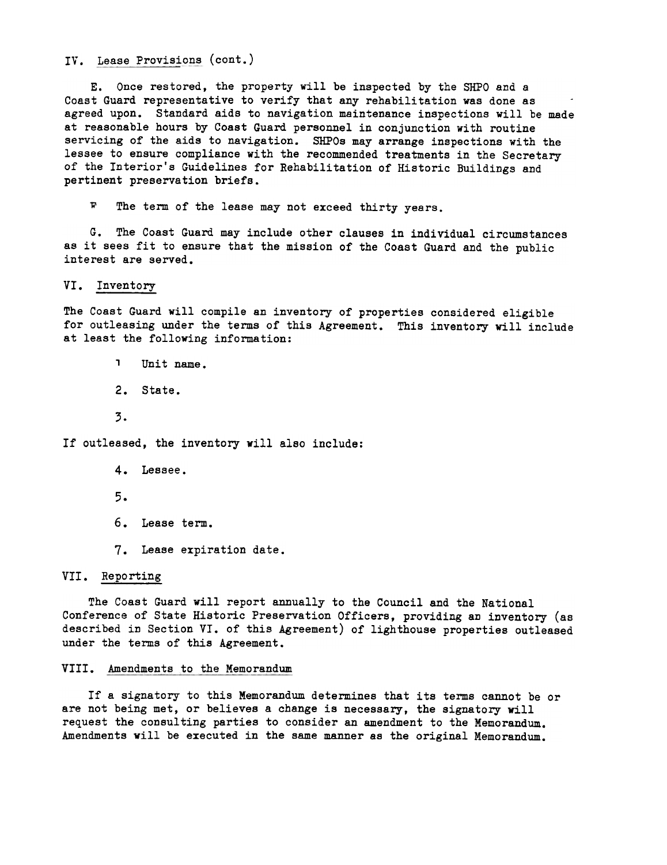IV. Lease Provisions (cont.)

E. Once restored, the property will be inspected by the SHPO and a Coast Guard representative to verify that any rehabilitation was done as agreed upon. Standard aids to navigation maintenance inspections will be made at reasonable hours by Coast Guard personnel in conjunction with routine servicing of the aids to navigation. SHPOs may arrange inspections with the lessee to ensure compliance with the recommended treatments in the Secretary of the Interior's Guidelines for Rehabilitation of Historic Buildings and pertinent preservation briefs.

F The term of the lease may not exceed thirty years.

G. The Coast Guard may include other clauses in individual circumstances as it sees fit to ensure that the mission of the Coast Guard and the public interest are served.

VI. Inventory

The Coast Guard will compile an inventory of properties considered eligible for outleasing under the terms of this Agreement. This inventory will include at least the following information:

, Unit name.

- 2. State.
- 3.

If outleased, the inventory will also include:

- 4. Lessee.
- 5.
- 6. Lease term.
- 7. Lease expiration date.

## VII. Reporting

The Coast Guard will report annually to the Council and the National Conference of State Historic Preservation Officers, providing an inventory (as described in Section VI. of this Agreement) of lighthouse properties outleased under the terms of this Agreement.

## VIII. Amendments to the Memorandum

If a signatory to this Memorandum determines that its terms cannot be or are not being met, or believes a change is necessary, the signatory will request the consulting parties to consider an amendment to the Memorandum. Amendments will be executed in the same manner as the original Memorandum.